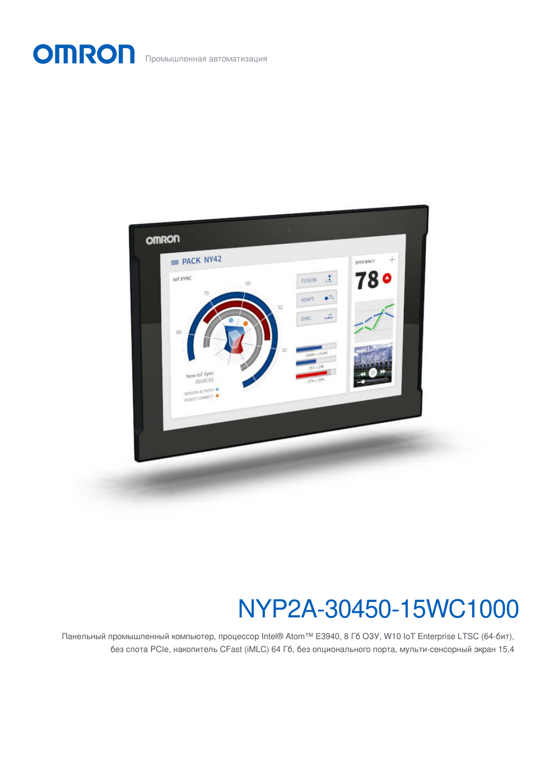OMRON Промышленная автоматизация



# NYP2A-30450-15WC1000

Панельный промышленный компьютер, процессор Intel® Atom™ E3940, 8 Гб ОЗУ, W10 IoT Enterprise LTSC (64-бит), без слота PCIe, накопитель CFast (iMLC) 64 Гб, без опционального порта, мульти-сенсорный экран 15,4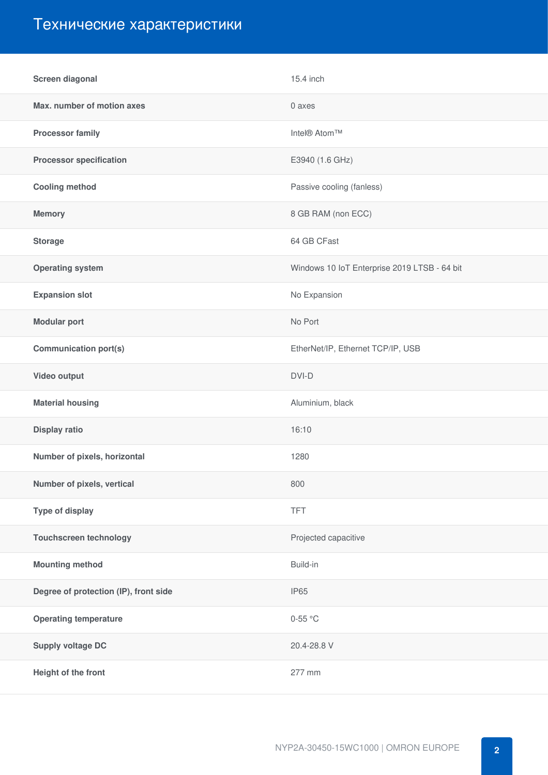## Технические характеристики

| Screen diagonal                       | 15.4 inch                                    |
|---------------------------------------|----------------------------------------------|
| Max. number of motion axes            | 0 axes                                       |
| <b>Processor family</b>               | Intel® Atom™                                 |
| <b>Processor specification</b>        | E3940 (1.6 GHz)                              |
| <b>Cooling method</b>                 | Passive cooling (fanless)                    |
| <b>Memory</b>                         | 8 GB RAM (non ECC)                           |
| <b>Storage</b>                        | 64 GB CFast                                  |
| <b>Operating system</b>               | Windows 10 IoT Enterprise 2019 LTSB - 64 bit |
| <b>Expansion slot</b>                 | No Expansion                                 |
| <b>Modular port</b>                   | No Port                                      |
| <b>Communication port(s)</b>          | EtherNet/IP, Ethernet TCP/IP, USB            |
| Video output                          | DVI-D                                        |
| <b>Material housing</b>               | Aluminium, black                             |
| Display ratio                         | 16:10                                        |
| Number of pixels, horizontal          | 1280                                         |
| Number of pixels, vertical            | 800                                          |
| <b>Type of display</b>                | <b>TFT</b>                                   |
| <b>Touchscreen technology</b>         | Projected capacitive                         |
| <b>Mounting method</b>                | Build-in                                     |
| Degree of protection (IP), front side | <b>IP65</b>                                  |
| <b>Operating temperature</b>          | $0-55$ °C                                    |
| <b>Supply voltage DC</b>              | 20.4-28.8 V                                  |
| Height of the front                   | 277 mm                                       |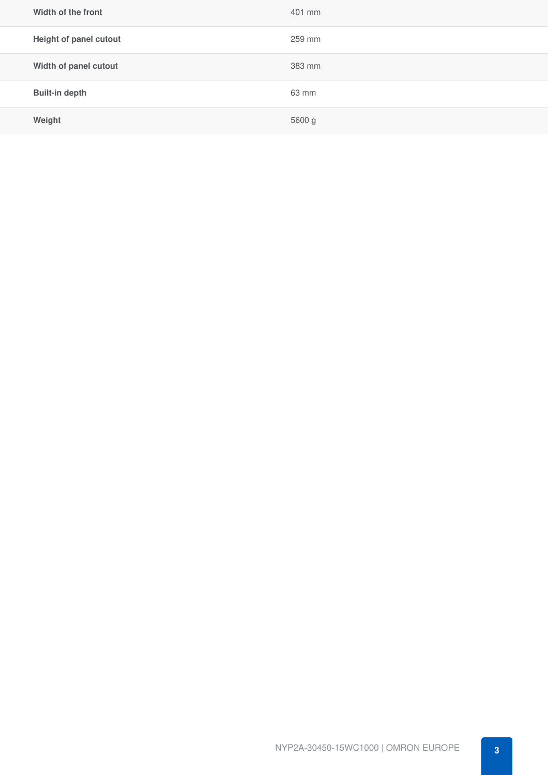| Width of the front     | 401 mm |
|------------------------|--------|
| Height of panel cutout | 259 mm |
| Width of panel cutout  | 383 mm |
| <b>Built-in depth</b>  | 63 mm  |
| Weight                 | 5600 g |
|                        |        |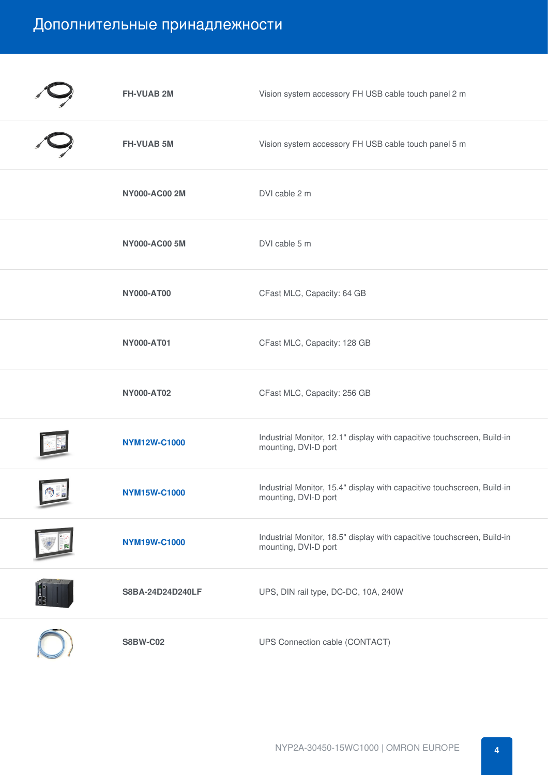### Дополнительные принадлежности

| <b>FH-VUAB 2M</b>    | Vision system accessory FH USB cable touch panel 2 m                                            |
|----------------------|-------------------------------------------------------------------------------------------------|
| <b>FH-VUAB 5M</b>    | Vision system accessory FH USB cable touch panel 5 m                                            |
| <b>NY000-AC00 2M</b> | DVI cable 2 m                                                                                   |
| <b>NY000-AC00 5M</b> | DVI cable 5 m                                                                                   |
| <b>NY000-AT00</b>    | CFast MLC, Capacity: 64 GB                                                                      |
| <b>NY000-AT01</b>    | CFast MLC, Capacity: 128 GB                                                                     |
| <b>NY000-AT02</b>    | CFast MLC, Capacity: 256 GB                                                                     |
| <b>NYM12W-C1000</b>  | Industrial Monitor, 12.1" display with capacitive touchscreen, Build-in<br>mounting, DVI-D port |
| <b>NYM15W-C1000</b>  | Industrial Monitor, 15.4" display with capacitive touchscreen, Build-in<br>mounting, DVI-D port |
| <b>NYM19W-C1000</b>  | Industrial Monitor, 18.5" display with capacitive touchscreen, Build-in<br>mounting, DVI-D port |
| S8BA-24D24D240LF     | UPS, DIN rail type, DC-DC, 10A, 240W                                                            |
| <b>S8BW-C02</b>      | UPS Connection cable (CONTACT)                                                                  |